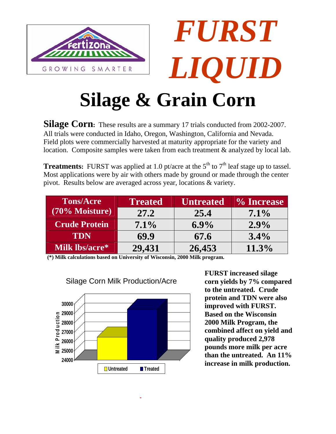

Silage Corn: These results are a summary 17 trials conducted from 2002-2007. All trials were conducted in Idaho, Oregon, Washington, California and Nevada. Field plots were commercially harvested at maturity appropriate for the variety and location. Composite samples were taken from each treatment & analyzed by local lab.

**Treatments:** FURST was applied at 1.0 pt/acre at the  $5<sup>th</sup>$  to  $7<sup>th</sup>$  leaf stage up to tassel. Most applications were by air with others made by ground or made through the center pivot. Results below are averaged across year, locations & variety.

| <b>Tons/Acre</b>     | <b>Treated</b> | <b>Untreated</b> | % Increase |
|----------------------|----------------|------------------|------------|
| (70% Moisture)       | 27.2           | 25.4             | $7.1\%$    |
| <b>Crude Protein</b> | $7.1\%$        | $6.9\%$          | $2.9\%$    |
| TDN                  | 69.9           | 67.6             | $3.4\%$    |
| Milk lbs/acre*       | 29,431         | 26,453           | $11.3\%$   |

**Milk lbs/acre\* 29,431 26,453 11.3% (\*) Milk calculations based on University of Wisconsin, 2000 Milk program.** 



**FURST increased silage corn yields by 7% compared to the untreated. Crude protein and TDN were also improved with FURST. Based on the Wisconsin 2000 Milk Program, the combined affect on yield and quality produced 2,978 pounds more milk per acre than the untreated. An 11%**